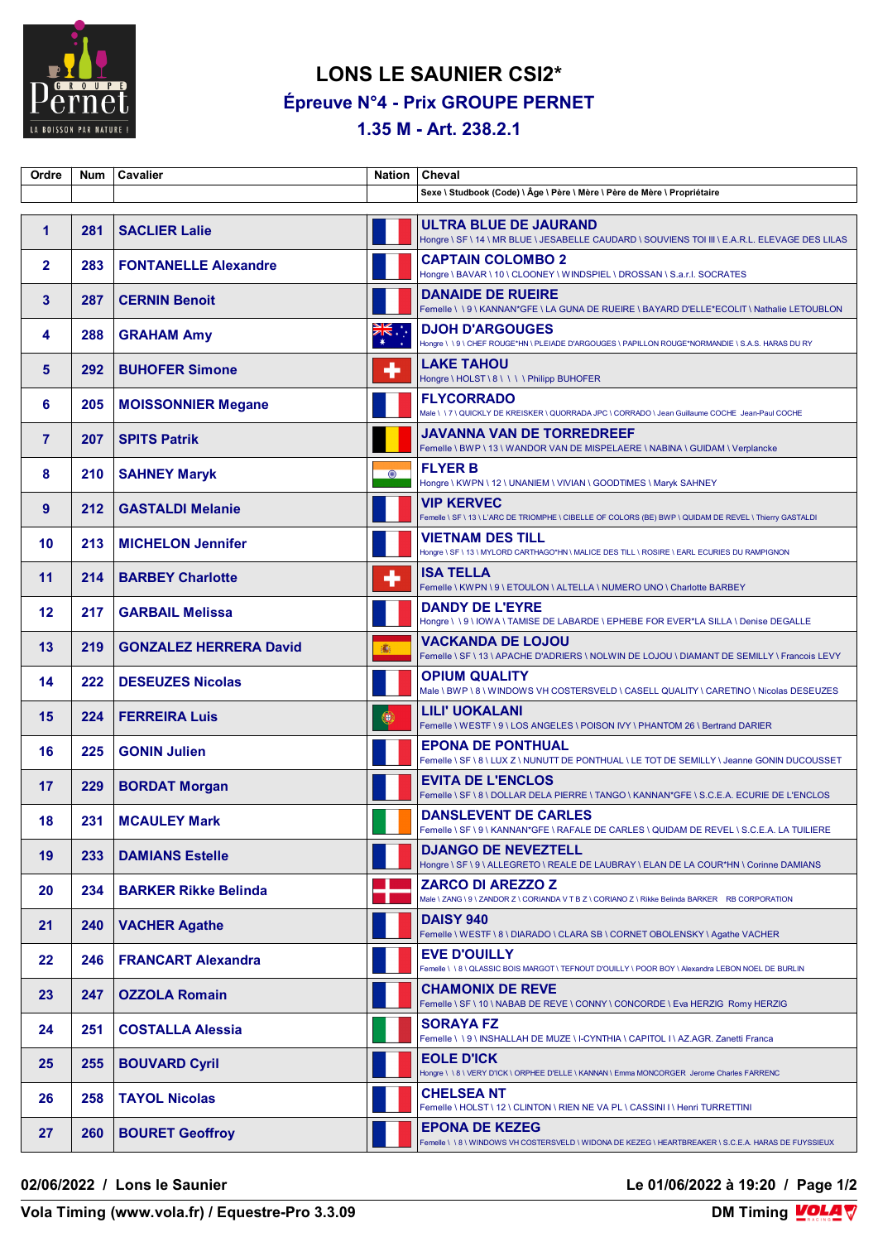

## **LONS LE SAUNIER CSI2\* Épreuve N°4 - Prix GROUPE PERNET**

## **1.35 M - Art. 238.2.1**

| Ordre             | <b>Num</b> | <b>Cavalier</b>               | Nation          | <b>Cheval</b>                                                                                                                  |
|-------------------|------------|-------------------------------|-----------------|--------------------------------------------------------------------------------------------------------------------------------|
|                   |            |                               |                 | Sexe \ Studbook (Code) \ Âge \ Père \ Mère \ Père de Mère \ Propriétaire                                                       |
| $\mathbf 1$       | 281        | <b>SACLIER Lalie</b>          |                 | <b>ULTRA BLUE DE JAURAND</b><br>Hongre \ SF \ 14 \ MR BLUE \ JESABELLE CAUDARD \ SOUVIENS TOI III \ E.A.R.L. ELEVAGE DES LILAS |
| $\mathbf{2}$      | 283        | <b>FONTANELLE Alexandre</b>   |                 | <b>CAPTAIN COLOMBO 2</b><br>Hongre \ BAVAR \ 10 \ CLOONEY \ WINDSPIEL \ DROSSAN \ S.a.r.l. SOCRATES                            |
| 3                 | 287        | <b>CERNIN Benoit</b>          |                 | <b>DANAIDE DE RUEIRE</b><br>Femelle \\9\KANNAN*GFE\LA GUNA DE RUEIRE\BAYARD D'ELLE*ECOLIT\Nathalie LETOUBLON                   |
| 4                 | 288        | <b>GRAHAM Amy</b>             | ∴, <del>≫</del> | <b>DJOH D'ARGOUGES</b><br>Hongre \\9\CHEF ROUGE*HN\PLEIADE D'ARGOUGES\PAPILLON ROUGE*NORMANDIE \S.A.S. HARAS DU RY             |
| 5                 | 292        | <b>BUHOFER Simone</b>         | ٠               | <b>LAKE TAHOU</b><br>Hongre \ HOLST \ 8 \ \ \ \ Philipp BUHOFER                                                                |
| 6                 | 205        | <b>MOISSONNIER Megane</b>     |                 | <b>FLYCORRADO</b><br>Male \ \ 7 \ QUICKLY DE KREISKER \ QUORRADA JPC \ CORRADO \ Jean Guillaume COCHE Jean-Paul COCHE          |
| $\overline{7}$    | 207        | <b>SPITS Patrik</b>           |                 | <b>JAVANNA VAN DE TORREDREEF</b><br>Femelle \ BWP \ 13 \ WANDOR VAN DE MISPELAERE \ NABINA \ GUIDAM \ Verplancke               |
| 8                 | 210        | <b>SAHNEY Maryk</b>           | $\bullet$       | <b>FLYER B</b><br>Hongre \ KWPN \ 12 \ UNANIEM \ VIVIAN \ GOODTIMES \ Maryk SAHNEY                                             |
| 9                 | 212        | <b>GASTALDI Melanie</b>       |                 | <b>VIP KERVEC</b><br>Femelle \ SF \ 13 \ L'ARC DE TRIOMPHE \ CIBELLE OF COLORS (BE) BWP \ QUIDAM DE REVEL \ Thierry GASTALDI   |
| 10                | 213        | <b>MICHELON Jennifer</b>      |                 | <b>VIETNAM DES TILL</b><br>Hongre \ SF \ 13 \ MYLORD CARTHAGO*HN \ MALICE DES TILL \ ROSIRE \ EARL ECURIES DU RAMPIGNON        |
| 11                | 214        | <b>BARBEY Charlotte</b>       | ٠               | <b>ISA TELLA</b><br>Femelle \ KWPN \ 9 \ ETOULON \ ALTELLA \ NUMERO UNO \ Charlotte BARBEY                                     |
| 12                | 217        | <b>GARBAIL Melissa</b>        |                 | <b>DANDY DE L'EYRE</b><br>Hongre \ \ 9 \ IOWA \ TAMISE DE LABARDE \ EPHEBE FOR EVER*LA SILLA \ Denise DEGALLE                  |
| 13                | 219        | <b>GONZALEZ HERRERA David</b> | 15.             | <b>VACKANDA DE LOJOU</b><br>Femelle \ SF \ 13 \ APACHE D'ADRIERS \ NOLWIN DE LOJOU \ DIAMANT DE SEMILLY \ Francois LEVY        |
| 14                | 222        | <b>DESEUZES Nicolas</b>       |                 | <b>OPIUM QUALITY</b><br>Male \ BWP \ 8 \ WINDOWS VH COSTERSVELD \ CASELL QUALITY \ CARETINO \ Nicolas DESEUZES                 |
| 15                | 224        | <b>FERREIRA Luis</b>          | $\bullet$       | LILI' UOKALANI<br>Femelle \ WESTF \ 9 \ LOS ANGELES \ POISON IVY \ PHANTOM 26 \ Bertrand DARIER                                |
| 16                | 225        | <b>GONIN Julien</b>           |                 | <b>EPONA DE PONTHUAL</b><br>Femelle \ SF \ 8 \ LUX Z \ NUNUTT DE PONTHUAL \ LE TOT DE SEMILLY \ Jeanne GONIN DUCOUSSET         |
| 17                | 229        | <b>BORDAT Morgan</b>          |                 | <b>EVITA DE L'ENCLOS</b><br>Femelle \ SF \ 8 \ DOLLAR DELA PIERRE \ TANGO \ KANNAN*GFE \ S.C.E.A. ECURIE DE L'ENCLOS           |
| 18                | 231        | <b>MCAULEY Mark</b>           |                 | <b>DANSLEVENT DE CARLES</b><br>Femelle \ SF \ 9 \ KANNAN*GFE \ RAFALE DE CARLES \ QUIDAM DE REVEL \ S.C.E.A. LA TUILIERE       |
| 19                | 233        | <b>DAMIANS Estelle</b>        |                 | <b>DJANGO DE NEVEZTELL</b><br>Hongre \ SF \ 9 \ ALLEGRETO \ REALE DE LAUBRAY \ ELAN DE LA COUR*HN \ Corinne DAMIANS            |
| 20                | 234        | <b>BARKER Rikke Belinda</b>   |                 | <b>ZARCO DI AREZZO Z</b><br>Male \ ZANG \ 9 \ ZANDOR Z \ CORIANDA V T B Z \ CORIANO Z \ Rikke Belinda BARKER RB CORPORATION    |
| 21                | 240        | <b>VACHER Agathe</b>          |                 | <b>DAISY 940</b><br>Femelle \ WESTF \ 8 \ DIARADO \ CLARA SB \ CORNET OBOLENSKY \ Agathe VACHER                                |
| $22 \overline{ }$ | 246        | <b>FRANCART Alexandra</b>     |                 | <b>EVE D'OUILLY</b><br>Femelle \\8\QLASSIC BOIS MARGOT\TEFNOUT D'OUILLY\POOR BOY\Alexandra LEBON NOEL DE BURLIN                |
| 23                | 247        | <b>OZZOLA Romain</b>          |                 | <b>CHAMONIX DE REVE</b><br>Femelle \ SF \ 10 \ NABAB DE REVE \ CONNY \ CONCORDE \ Eva HERZIG Romy HERZIG                       |
| 24                | 251        | <b>COSTALLA Alessia</b>       |                 | <b>SORAYA FZ</b><br>Femelle \\9\INSHALLAH DE MUZE \I-CYNTHIA \CAPITOL I \AZ.AGR. Zanetti Franca                                |
| 25                | 255        | <b>BOUVARD Cyril</b>          |                 | <b>EOLE D'ICK</b><br>Hongre \ \ 8 \ VERY D'ICK \ ORPHEE D'ELLE \ KANNAN \ Emma MONCORGER Jerome Charles FARRENC                |
| 26                | 258        | <b>TAYOL Nicolas</b>          |                 | <b>CHELSEA NT</b><br>Femelle \  HOLST \ 12 \  CLINTON \  RIEN NE VA PL \  CASSINI I \ Henri TURRETTINI                         |
| 27                | 260        | <b>BOURET Geoffroy</b>        |                 | <b>EPONA DE KEZEG</b><br>Femelle \ \ 8 \ WINDOWS VH COSTERSVELD \ WIDONA DE KEZEG \ HEARTBREAKER \ S.C.E.A. HARAS DE FUYSSIEUX |

**02/06/2022 / Lons le Saunier Le 01/06/2022 à 19:20 / Page 1/2**

**Vola Timing (www.vola.fr) / Equestre-Pro 3.3.09**